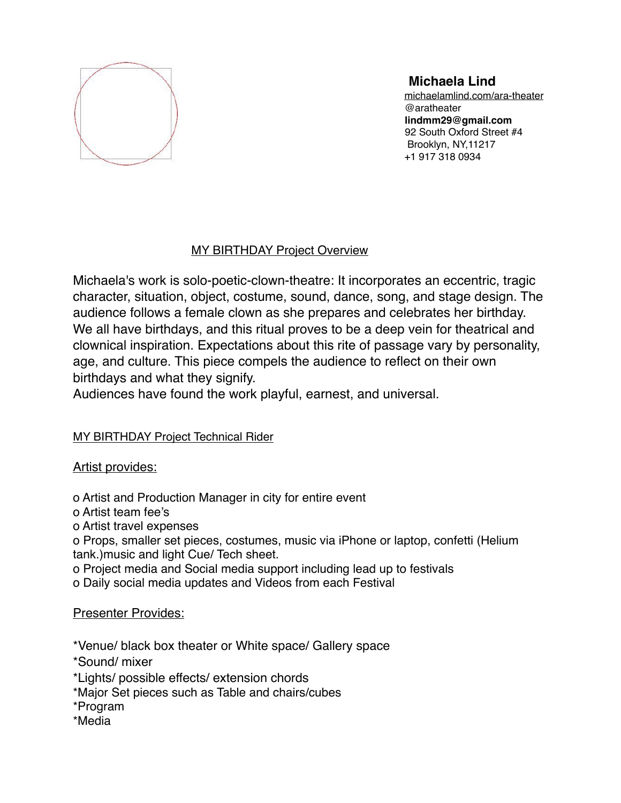

# **Michaela Lind**

[michaelamlind.com/ara-theater](http://michaelamlind.com/ara-theater) @aratheater **lindmm29@gmail.com** 92 South Oxford Street #4 Brooklyn, NY,11217 +1 917 318 0934

### MY BIRTHDAY Project Overview

Michaela's work is solo-poetic-clown-theatre: It incorporates an eccentric, tragic character, situation, object, costume, sound, dance, song, and stage design. The audience follows a female clown as she prepares and celebrates her birthday. We all have birthdays, and this ritual proves to be a deep vein for theatrical and clownical inspiration. Expectations about this rite of passage vary by personality, age, and culture. This piece compels the audience to reflect on their own birthdays and what they signify.

Audiences have found the work playful, earnest, and universal.

### MY BIRTHDAY Project Technical Rider

### Artist provides:

o Artist and Production Manager in city for entire event

o Artist team fee's

o Artist travel expenses

o Props, smaller set pieces, costumes, music via iPhone or laptop, confetti (Helium tank.)music and light Cue/ Tech sheet.

o Project media and Social media support including lead up to festivals

o Daily social media updates and Videos from each Festival

## Presenter Provides:

\*Venue/ black box theater or White space/ Gallery space

- \*Sound/ mixer
- \*Lights/ possible effects/ extension chords
- \*Major Set pieces such as Table and chairs/cubes
- \*Program
- \*Media